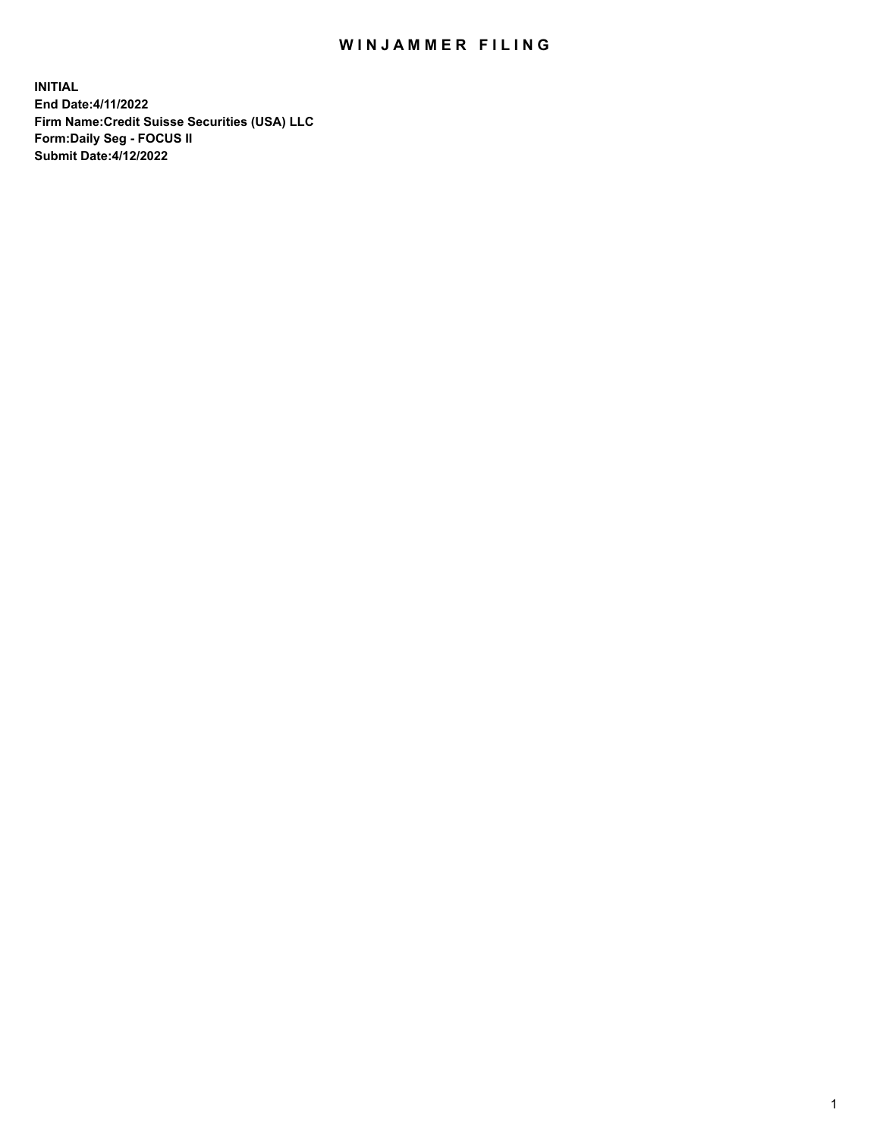# WIN JAMMER FILING

**INITIAL End Date:4/11/2022 Firm Name:Credit Suisse Securities (USA) LLC Form:Daily Seg - FOCUS II Submit Date:4/12/2022**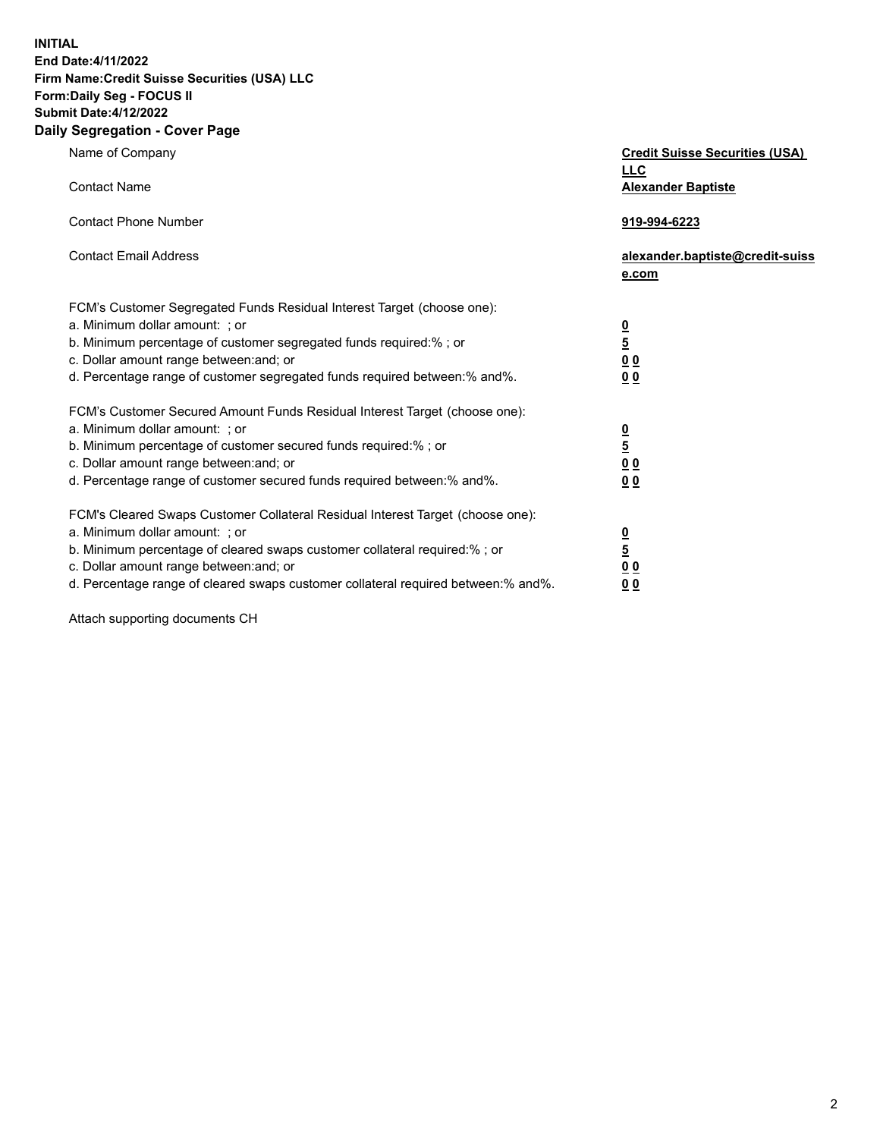**INITIAL End Date:4/11/2022** 

#### **Firm Name:Credit Suisse Securities (USA) LLC Form:Daily Seg - FOCUS II Submit Date:4/12/2022**

#### **Daily Segregation - Cover Page**

| Name of Company                                                                                                                                                                                                                                                                                                                  | <b>Credit Suisse Securities (USA)</b><br><b>LLC</b>                   |
|----------------------------------------------------------------------------------------------------------------------------------------------------------------------------------------------------------------------------------------------------------------------------------------------------------------------------------|-----------------------------------------------------------------------|
| <b>Contact Name</b>                                                                                                                                                                                                                                                                                                              | <b>Alexander Baptiste</b>                                             |
| <b>Contact Phone Number</b>                                                                                                                                                                                                                                                                                                      | 919-994-6223                                                          |
| <b>Contact Email Address</b>                                                                                                                                                                                                                                                                                                     | alexander.baptiste@credit-suiss<br>e.com                              |
| FCM's Customer Segregated Funds Residual Interest Target (choose one):<br>a. Minimum dollar amount: ; or<br>b. Minimum percentage of customer segregated funds required:% ; or<br>c. Dollar amount range between: and; or<br>d. Percentage range of customer segregated funds required between:% and%.                           | $\frac{0}{5}$<br>0 <sub>0</sub><br>0 <sub>0</sub>                     |
| FCM's Customer Secured Amount Funds Residual Interest Target (choose one):<br>a. Minimum dollar amount: ; or<br>b. Minimum percentage of customer secured funds required:% ; or<br>c. Dollar amount range between: and; or<br>d. Percentage range of customer secured funds required between:% and%.                             | $\frac{0}{5}$<br>$\underline{0}$<br>$\underline{0}$<br>0 <sub>0</sub> |
| FCM's Cleared Swaps Customer Collateral Residual Interest Target (choose one):<br>a. Minimum dollar amount: ; or<br>b. Minimum percentage of cleared swaps customer collateral required:% ; or<br>c. Dollar amount range between: and; or<br>d. Percentage range of cleared swaps customer collateral required between: % and %. | $\frac{0}{5}$<br>0 <sub>0</sub><br>0 <sub>0</sub>                     |

Attach supporting documents CH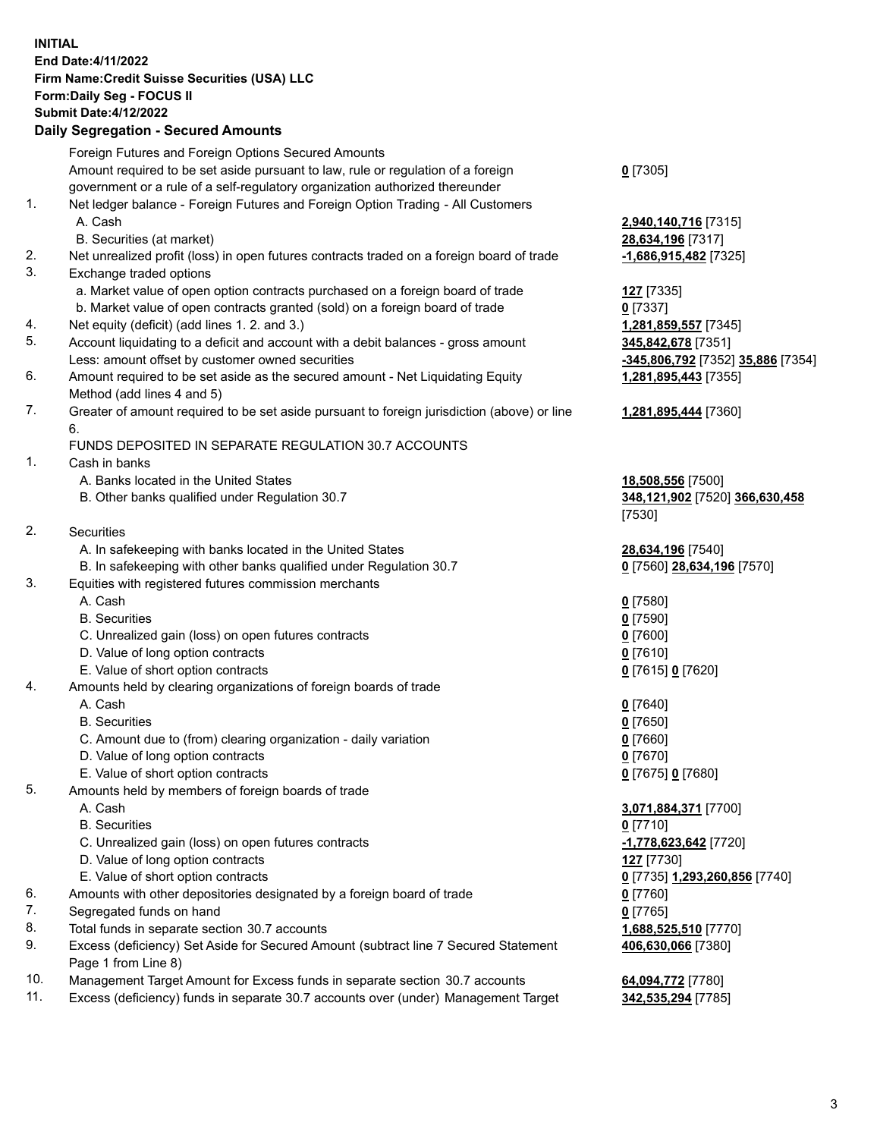## **INITIAL End Date:4/11/2022 Firm Name:Credit Suisse Securities (USA) LLC Form:Daily Seg - FOCUS II Submit Date:4/12/2022**

## **Daily Segregation - Secured Amounts**

|     | Foreign Futures and Foreign Options Secured Amounts                                                        |                                   |
|-----|------------------------------------------------------------------------------------------------------------|-----------------------------------|
|     | Amount required to be set aside pursuant to law, rule or regulation of a foreign                           | $0$ [7305]                        |
|     | government or a rule of a self-regulatory organization authorized thereunder                               |                                   |
| 1.  | Net ledger balance - Foreign Futures and Foreign Option Trading - All Customers                            |                                   |
|     | A. Cash                                                                                                    | 2,940,140,716 [7315]              |
|     | B. Securities (at market)                                                                                  | 28,634,196 [7317]                 |
| 2.  | Net unrealized profit (loss) in open futures contracts traded on a foreign board of trade                  | $-1,686,915,482$ [7325]           |
| 3.  | Exchange traded options                                                                                    |                                   |
|     | a. Market value of open option contracts purchased on a foreign board of trade                             | <b>127</b> [7335]                 |
|     | b. Market value of open contracts granted (sold) on a foreign board of trade                               | $0$ [7337]                        |
| 4.  | Net equity (deficit) (add lines 1. 2. and 3.)                                                              | 1,281,859,557 [7345]              |
| 5.  | Account liquidating to a deficit and account with a debit balances - gross amount                          | 345,842,678 [7351]                |
|     | Less: amount offset by customer owned securities                                                           | -345,806,792 [7352] 35,886 [7354] |
| 6.  | Amount required to be set aside as the secured amount - Net Liquidating Equity                             | 1,281,895,443 [7355]              |
|     | Method (add lines 4 and 5)                                                                                 |                                   |
| 7.  | Greater of amount required to be set aside pursuant to foreign jurisdiction (above) or line                | 1,281,895,444 [7360]              |
|     | 6.                                                                                                         |                                   |
|     | FUNDS DEPOSITED IN SEPARATE REGULATION 30.7 ACCOUNTS                                                       |                                   |
| 1.  | Cash in banks                                                                                              |                                   |
|     | A. Banks located in the United States                                                                      | 18,508,556 [7500]                 |
|     | B. Other banks qualified under Regulation 30.7                                                             | 348,121,902 [7520] 366,630,458    |
|     |                                                                                                            | [7530]                            |
| 2.  | <b>Securities</b>                                                                                          |                                   |
|     | A. In safekeeping with banks located in the United States                                                  | 28,634,196 [7540]                 |
|     | B. In safekeeping with other banks qualified under Regulation 30.7                                         | 0 [7560] 28,634,196 [7570]        |
| 3.  | Equities with registered futures commission merchants                                                      |                                   |
|     | A. Cash                                                                                                    | $0$ [7580]                        |
|     | <b>B.</b> Securities                                                                                       | $0$ [7590]                        |
|     | C. Unrealized gain (loss) on open futures contracts                                                        | $0$ [7600]                        |
|     | D. Value of long option contracts                                                                          | $0$ [7610]                        |
|     | E. Value of short option contracts                                                                         | 0 [7615] 0 [7620]                 |
| 4.  | Amounts held by clearing organizations of foreign boards of trade                                          |                                   |
|     | A. Cash                                                                                                    | $0$ [7640]                        |
|     | <b>B.</b> Securities                                                                                       | $0$ [7650]                        |
|     | C. Amount due to (from) clearing organization - daily variation                                            | $0$ [7660]                        |
|     | D. Value of long option contracts                                                                          | $0$ [7670]                        |
|     | E. Value of short option contracts                                                                         | 0 [7675] 0 [7680]                 |
| 5.  | Amounts held by members of foreign boards of trade                                                         |                                   |
|     | A. Cash                                                                                                    | 3,071,884,371 [7700]              |
|     | <b>B.</b> Securities                                                                                       | $0$ [7710]                        |
|     | C. Unrealized gain (loss) on open futures contracts                                                        | -1,778,623,642 [7720]             |
|     | D. Value of long option contracts                                                                          | 127 [7730]                        |
|     | E. Value of short option contracts                                                                         | 0 [7735] 1,293,260,856 [7740]     |
| 6.  | Amounts with other depositories designated by a foreign board of trade                                     | 0 [7760]                          |
| 7.  | Segregated funds on hand                                                                                   | $0$ [7765]                        |
| 8.  | Total funds in separate section 30.7 accounts                                                              | 1,688,525,510 [7770]              |
| 9.  | Excess (deficiency) Set Aside for Secured Amount (subtract line 7 Secured Statement<br>Page 1 from Line 8) | 406,630,066 [7380]                |
| 10. | Management Target Amount for Excess funds in separate section 30.7 accounts                                | 64,094,772 [7780]                 |

11. Excess (deficiency) funds in separate 30.7 accounts over (under) Management Target **342,535,294** [7785]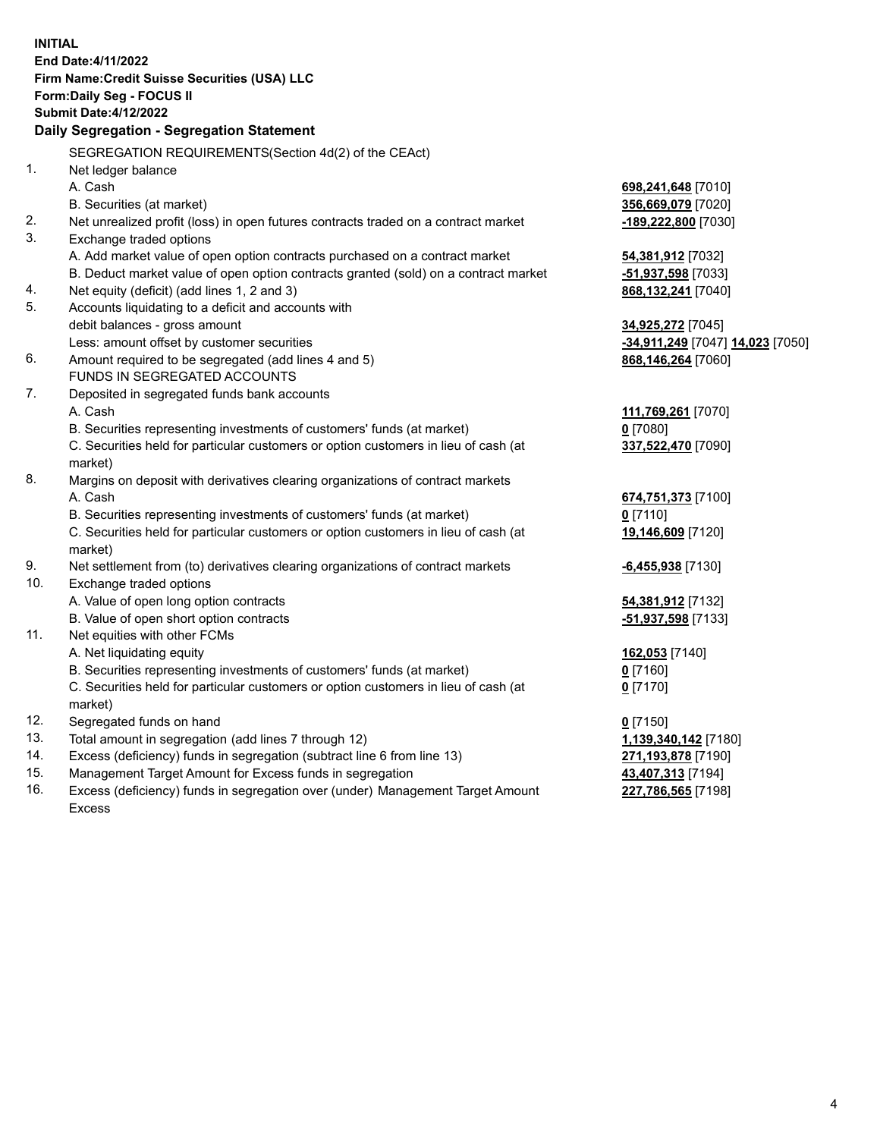**INITIAL End Date:4/11/2022 Firm Name:Credit Suisse Securities (USA) LLC Form:Daily Seg - FOCUS II Submit Date:4/12/2022 Daily Segregation - Segregation Statement** SEGREGATION REQUIREMENTS(Section 4d(2) of the CEAct) 1. Net ledger balance A. Cash **698,241,648** [7010] B. Securities (at market) **356,669,079** [7020] 2. Net unrealized profit (loss) in open futures contracts traded on a contract market **-189,222,800** [7030] 3. Exchange traded options A. Add market value of open option contracts purchased on a contract market **54,381,912** [7032] B. Deduct market value of open option contracts granted (sold) on a contract market **-51,937,598** [7033] 4. Net equity (deficit) (add lines 1, 2 and 3) **868,132,241** [7040] 5. Accounts liquidating to a deficit and accounts with debit balances - gross amount **34,925,272** [7045] Less: amount offset by customer securities **-34,911,249** [7047] **14,023** [7050] 6. Amount required to be segregated (add lines 4 and 5) **868,146,264** [7060] FUNDS IN SEGREGATED ACCOUNTS 7. Deposited in segregated funds bank accounts A. Cash **111,769,261** [7070] B. Securities representing investments of customers' funds (at market) **0** [7080] C. Securities held for particular customers or option customers in lieu of cash (at market) **337,522,470** [7090] 8. Margins on deposit with derivatives clearing organizations of contract markets A. Cash **674,751,373** [7100] B. Securities representing investments of customers' funds (at market) **0** [7110] C. Securities held for particular customers or option customers in lieu of cash (at market) **19,146,609** [7120] 9. Net settlement from (to) derivatives clearing organizations of contract markets **-6,455,938** [7130] 10. Exchange traded options A. Value of open long option contracts **54,381,912** [7132] B. Value of open short option contracts **-51,937,598** [7133] 11. Net equities with other FCMs A. Net liquidating equity **162,053** [7140] B. Securities representing investments of customers' funds (at market) **0** [7160] C. Securities held for particular customers or option customers in lieu of cash (at market) **0** [7170] 12. Segregated funds on hand **0** [7150] 13. Total amount in segregation (add lines 7 through 12) **1,139,340,142** [7180] 14. Excess (deficiency) funds in segregation (subtract line 6 from line 13) **271,193,878** [7190] 15. Management Target Amount for Excess funds in segregation **43,407,313** [7194] 16. Excess (deficiency) funds in segregation over (under) Management Target Amount **227,786,565** [7198]

Excess

4